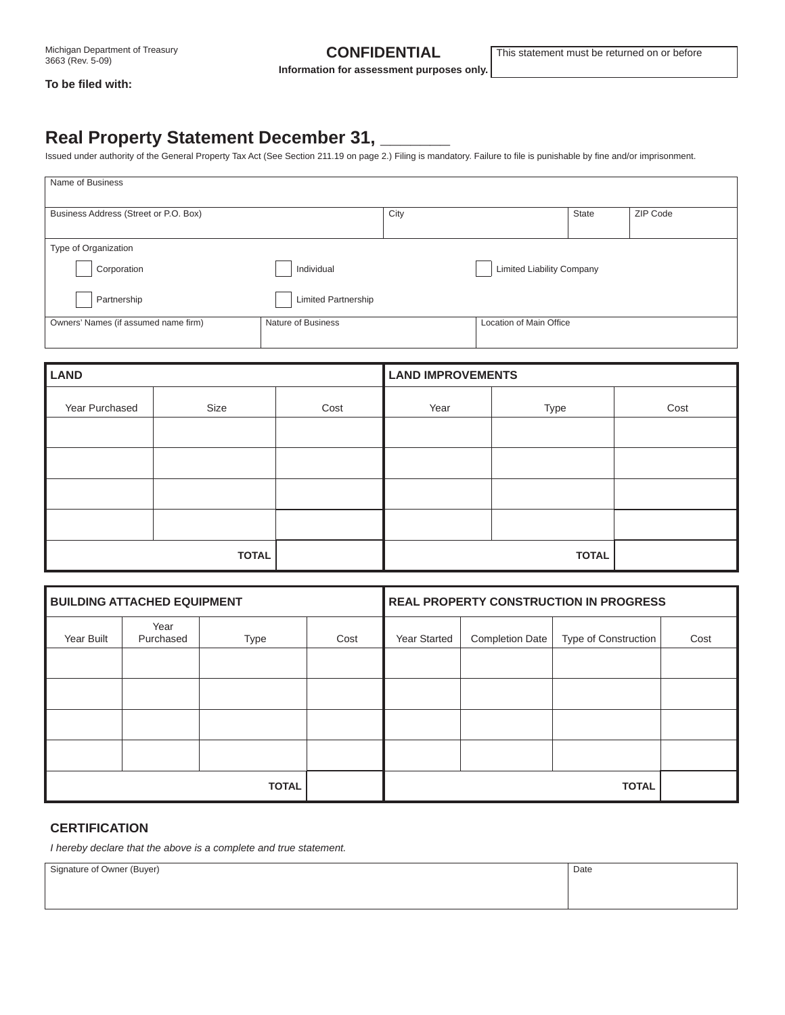**Information for assessment purposes only.**

#### **To be fi led with:**

# **Real Property Statement December 31, \_\_\_\_\_\_\_**

Issued under authority of the General Property Tax Act (See Section 211.19 on page 2.) Filing is mandatory. Failure to file is punishable by fine and/or imprisonment.

| Name of Business                      |                            |      |                                  |       |          |
|---------------------------------------|----------------------------|------|----------------------------------|-------|----------|
| Business Address (Street or P.O. Box) |                            | City |                                  | State | ZIP Code |
| Type of Organization                  |                            |      |                                  |       |          |
| Corporation                           | Individual                 |      | <b>Limited Liability Company</b> |       |          |
| Partnership                           | <b>Limited Partnership</b> |      |                                  |       |          |
| Owners' Names (if assumed name firm)  | Nature of Business         |      | Location of Main Office          |       |          |

| <b>LAND</b>    |      |      | <b>LAND IMPROVEMENTS</b> |      |      |  |
|----------------|------|------|--------------------------|------|------|--|
| Year Purchased | Size | Cost | Year                     | Type | Cost |  |
|                |      |      |                          |      |      |  |
|                |      |      |                          |      |      |  |
|                |      |      |                          |      |      |  |
|                |      |      |                          |      |      |  |
| <b>TOTAL</b>   |      |      | <b>TOTAL</b>             |      |      |  |

| <b>BUILDING ATTACHED EQUIPMENT</b> |                   | <b>REAL PROPERTY CONSTRUCTION IN PROGRESS</b> |              |              |                 |                      |      |
|------------------------------------|-------------------|-----------------------------------------------|--------------|--------------|-----------------|----------------------|------|
| Year Built                         | Year<br>Purchased | Type                                          | Cost         | Year Started | Completion Date | Type of Construction | Cost |
|                                    |                   |                                               |              |              |                 |                      |      |
|                                    |                   |                                               |              |              |                 |                      |      |
|                                    |                   |                                               |              |              |                 |                      |      |
|                                    |                   |                                               |              |              |                 |                      |      |
| <b>TOTAL</b>                       |                   |                                               | <b>TOTAL</b> |              |                 |                      |      |

### **CERTIFICATION**

*I hereby declare that the above is a complete and true statement.*

Signature of Owner (Buyer) Date